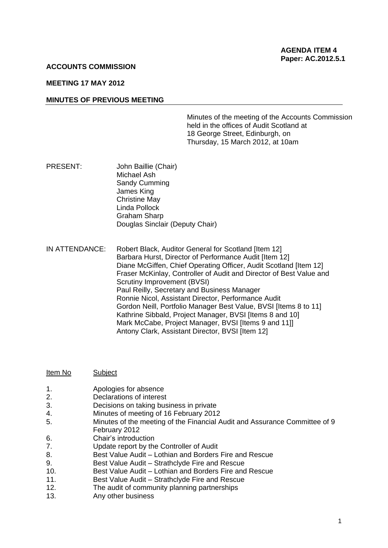#### **ACCOUNTS COMMISSION**

# **MEETING 17 MAY 2012**

#### **MINUTES OF PREVIOUS MEETING**

Minutes of the meeting of the Accounts Commission held in the offices of Audit Scotland at 18 George Street, Edinburgh, on Thursday, 15 March 2012, at 10am

PRESENT: John Baillie (Chair) Michael Ash Sandy Cumming James King Christine May Linda Pollock Graham Sharp Douglas Sinclair (Deputy Chair)

IN ATTENDANCE: Robert Black, Auditor General for Scotland [Item 12] Barbara Hurst, Director of Performance Audit [Item 12] Diane McGiffen, Chief Operating Officer, Audit Scotland [Item 12] Fraser McKinlay, Controller of Audit and Director of Best Value and Scrutiny Improvement (BVSI) Paul Reilly, Secretary and Business Manager Ronnie Nicol, Assistant Director, Performance Audit Gordon Neill, Portfolio Manager Best Value, BVSI [Items 8 to 11] Kathrine Sibbald, Project Manager, BVSI [Items 8 and 10] Mark McCabe, Project Manager, BVSI [Items 9 and 11]] Antony Clark, Assistant Director, BVSI [Item 12]

| Item No | Subject |  |
|---------|---------|--|
|         |         |  |

- 1. Apologies for absence
- 2. Declarations of interest
- 3. Decisions on taking business in private
- 4. Minutes of meeting of 16 February 2012
- 5. Minutes of the meeting of the Financial Audit and Assurance Committee of 9 February 2012
- 6. Chair's introduction
- 7. Update report by the Controller of Audit
- 8. Best Value Audit Lothian and Borders Fire and Rescue
- 9. Best Value Audit Strathclyde Fire and Rescue
- 10. Best Value Audit Lothian and Borders Fire and Rescue
- 11. Best Value Audit Strathclyde Fire and Rescue
- 12. The audit of community planning partnerships
- 13. Any other business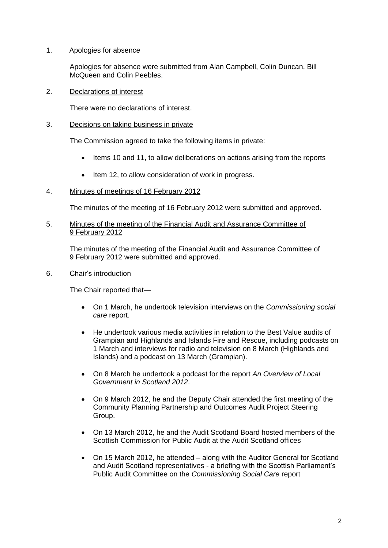# 1. Apologies for absence

Apologies for absence were submitted from Alan Campbell, Colin Duncan, Bill McQueen and Colin Peebles.

# 2. Declarations of interest

There were no declarations of interest.

3. Decisions on taking business in private

The Commission agreed to take the following items in private:

- Items 10 and 11, to allow deliberations on actions arising from the reports
- Item 12, to allow consideration of work in progress.

## 4. Minutes of meetings of 16 February 2012

The minutes of the meeting of 16 February 2012 were submitted and approved.

## 5. Minutes of the meeting of the Financial Audit and Assurance Committee of 9 February 2012

The minutes of the meeting of the Financial Audit and Assurance Committee of 9 February 2012 were submitted and approved.

## 6. Chair's introduction

The Chair reported that—

- On 1 March, he undertook television interviews on the *Commissioning social care* report.
- He undertook various media activities in relation to the Best Value audits of Grampian and Highlands and Islands Fire and Rescue, including podcasts on 1 March and interviews for radio and television on 8 March (Highlands and Islands) and a podcast on 13 March (Grampian).
- On 8 March he undertook a podcast for the report *An Overview of Local Government in Scotland 2012*.
- On 9 March 2012, he and the Deputy Chair attended the first meeting of the Community Planning Partnership and Outcomes Audit Project Steering Group.
- On 13 March 2012, he and the Audit Scotland Board hosted members of the Scottish Commission for Public Audit at the Audit Scotland offices
- On 15 March 2012, he attended along with the Auditor General for Scotland and Audit Scotland representatives - a briefing with the Scottish Parliament's Public Audit Committee on the *Commissioning Social Care* report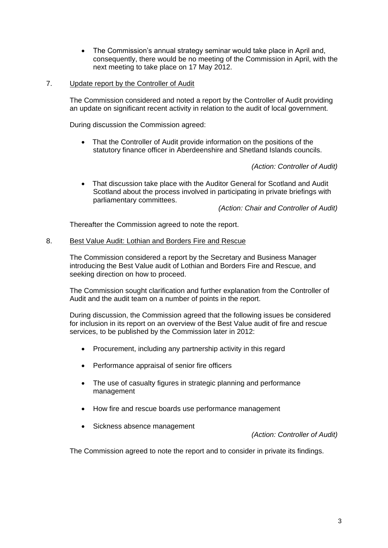- The Commission's annual strategy seminar would take place in April and, consequently, there would be no meeting of the Commission in April, with the next meeting to take place on 17 May 2012.
- 7. Update report by the Controller of Audit

The Commission considered and noted a report by the Controller of Audit providing an update on significant recent activity in relation to the audit of local government.

During discussion the Commission agreed:

• That the Controller of Audit provide information on the positions of the statutory finance officer in Aberdeenshire and Shetland Islands councils.

*(Action: Controller of Audit)*

 That discussion take place with the Auditor General for Scotland and Audit Scotland about the process involved in participating in private briefings with parliamentary committees.

*(Action: Chair and Controller of Audit)*

Thereafter the Commission agreed to note the report.

# 8. Best Value Audit: Lothian and Borders Fire and Rescue

The Commission considered a report by the Secretary and Business Manager introducing the Best Value audit of Lothian and Borders Fire and Rescue, and seeking direction on how to proceed.

The Commission sought clarification and further explanation from the Controller of Audit and the audit team on a number of points in the report.

During discussion, the Commission agreed that the following issues be considered for inclusion in its report on an overview of the Best Value audit of fire and rescue services, to be published by the Commission later in 2012:

- Procurement, including any partnership activity in this regard
- Performance appraisal of senior fire officers
- The use of casualty figures in strategic planning and performance management
- How fire and rescue boards use performance management
- Sickness absence management

*(Action: Controller of Audit)*

The Commission agreed to note the report and to consider in private its findings.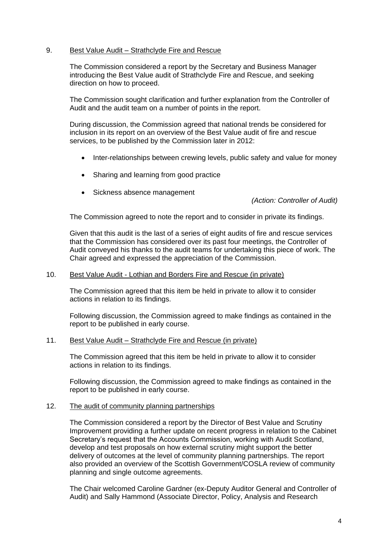## 9. Best Value Audit – Strathclyde Fire and Rescue

The Commission considered a report by the Secretary and Business Manager introducing the Best Value audit of Strathclyde Fire and Rescue, and seeking direction on how to proceed.

The Commission sought clarification and further explanation from the Controller of Audit and the audit team on a number of points in the report.

During discussion, the Commission agreed that national trends be considered for inclusion in its report on an overview of the Best Value audit of fire and rescue services, to be published by the Commission later in 2012:

- Inter-relationships between crewing levels, public safety and value for money
- Sharing and learning from good practice
- Sickness absence management

*(Action: Controller of Audit)*

The Commission agreed to note the report and to consider in private its findings.

Given that this audit is the last of a series of eight audits of fire and rescue services that the Commission has considered over its past four meetings, the Controller of Audit conveyed his thanks to the audit teams for undertaking this piece of work. The Chair agreed and expressed the appreciation of the Commission.

## 10. Best Value Audit - Lothian and Borders Fire and Rescue (in private)

The Commission agreed that this item be held in private to allow it to consider actions in relation to its findings.

Following discussion, the Commission agreed to make findings as contained in the report to be published in early course.

#### 11. Best Value Audit – Strathclyde Fire and Rescue (in private)

The Commission agreed that this item be held in private to allow it to consider actions in relation to its findings.

Following discussion, the Commission agreed to make findings as contained in the report to be published in early course.

### 12. The audit of community planning partnerships

The Commission considered a report by the Director of Best Value and Scrutiny Improvement providing a further update on recent progress in relation to the Cabinet Secretary's request that the Accounts Commission, working with Audit Scotland, develop and test proposals on how external scrutiny might support the better delivery of outcomes at the level of community planning partnerships. The report also provided an overview of the Scottish Government/COSLA review of community planning and single outcome agreements.

The Chair welcomed Caroline Gardner (ex-Deputy Auditor General and Controller of Audit) and Sally Hammond (Associate Director, Policy, Analysis and Research